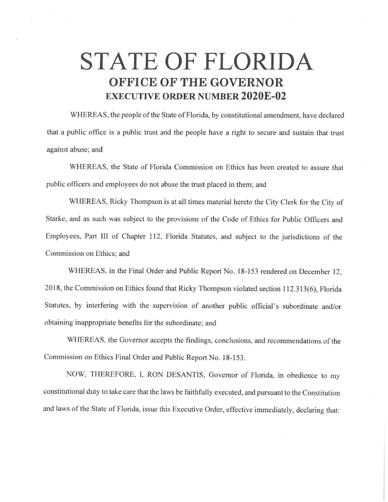## **STATE OF FLORIDA OFFICE OF THE GOVERNOR EXECUTIVE ORDER NUMBER 2020E-02**

WHEREAS, the people of the State of Florida, by constitutional amendment, have declared that a public office is a public trust and the people have a right to secure and sustain that trust against abuse; and

WHEREAS, the State of Florida Commission on Ethics has been created to assure that public officers and employees do not abuse the trust placed in them; and

WHEREAS, Ricky Thompson is at all times material hereto the City Clerk for the City of Starke, and as such was subject to the provisions of the Code of Ethics for Public Officers and Employees, Part III of Chapter 112, Florida Statutes, and subject to the jurisdictions of the Commission on Ethics; and

WHEREAS, in the Final Order and Public Report No. 18-153 rendered on December 12, 2018, the Commission on Ethics found that Ricky Thompson violated section 112.313(6), Florida Statutes, by interfering with the supervision of another public official's subordinate and/or obtaining inappropriate benefits for the subordinate; and

WHEREAS, the Governor accepts the findings, conclusions, and recommendations of the Commission on Ethics Final Order and Public Report No. 18-153.

NOW, THEREFORE, I, RON DESANTIS, Governor of Florida, in obedience to my constitutional duty to take care that the laws be faithfully executed, and pursuant to the Constitution and laws of the State of Florida, issue this Executive Order, effective immediately, declaring that: